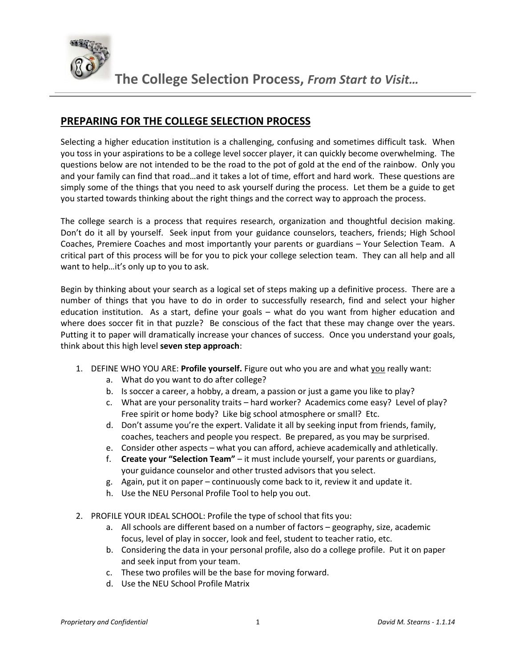

## **PREPARING FOR THE COLLEGE SELECTION PROCESS**

Selecting a higher education institution is a challenging, confusing and sometimes difficult task. When you toss in your aspirations to be a college level soccer player, it can quickly become overwhelming. The questions below are not intended to be the road to the pot of gold at the end of the rainbow. Only you and your family can find that road…and it takes a lot of time, effort and hard work. These questions are simply some of the things that you need to ask yourself during the process. Let them be a guide to get you started towards thinking about the right things and the correct way to approach the process.

The college search is a process that requires research, organization and thoughtful decision making. Don't do it all by yourself. Seek input from your guidance counselors, teachers, friends; High School Coaches, Premiere Coaches and most importantly your parents or guardians – Your Selection Team. A critical part of this process will be for you to pick your college selection team. They can all help and all want to help…it's only up to you to ask.

Begin by thinking about your search as a logical set of steps making up a definitive process. There are a number of things that you have to do in order to successfully research, find and select your higher education institution. As a start, define your goals – what do you want from higher education and where does soccer fit in that puzzle? Be conscious of the fact that these may change over the years. Putting it to paper will dramatically increase your chances of success. Once you understand your goals, think about this high level **seven step approach**:

- 1. DEFINE WHO YOU ARE: **Profile yourself.** Figure out who you are and what you really want:
	- a. What do you want to do after college?
	- b. Is soccer a career, a hobby, a dream, a passion or just a game you like to play?
	- c. What are your personality traits hard worker? Academics come easy? Level of play? Free spirit or home body? Like big school atmosphere or small? Etc.
	- d. Don't assume you're the expert. Validate it all by seeking input from friends, family, coaches, teachers and people you respect. Be prepared, as you may be surprised.
	- e. Consider other aspects what you can afford, achieve academically and athletically.
	- f. **Create your "Selection Team"** it must include yourself, your parents or guardians, your guidance counselor and other trusted advisors that you select.
	- g. Again, put it on paper continuously come back to it, review it and update it.
	- h. Use the NEU Personal Profile Tool to help you out.
- 2. PROFILE YOUR IDEAL SCHOOL: Profile the type of school that fits you:
	- a. All schools are different based on a number of factors geography, size, academic focus, level of play in soccer, look and feel, student to teacher ratio, etc.
	- b. Considering the data in your personal profile, also do a college profile. Put it on paper and seek input from your team.
	- c. These two profiles will be the base for moving forward.
	- d. Use the NEU School Profile Matrix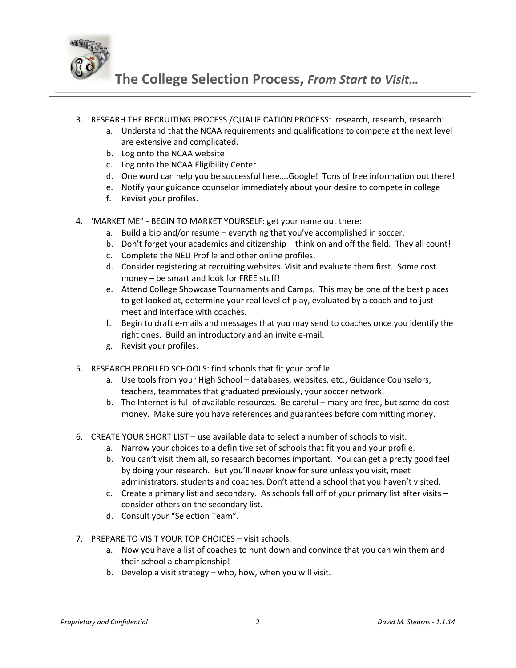

**The College Selection Process,** *From Start to Visit…*

- 3. RESEARH THE RECRUITING PROCESS /QUALIFICATION PROCESS: research, research, research:
	- a. Understand that the NCAA requirements and qualifications to compete at the next level are extensive and complicated.
	- b. Log onto the NCAA website
	- c. Log onto the NCAA Eligibility Center
	- d. One word can help you be successful here….Google! Tons of free information out there!
	- e. Notify your guidance counselor immediately about your desire to compete in college
	- f. Revisit your profiles.
- 4. 'MARKET ME" BEGIN TO MARKET YOURSELF: get your name out there:
	- a. Build a bio and/or resume everything that you've accomplished in soccer.
	- b. Don't forget your academics and citizenship think on and off the field. They all count!
	- c. Complete the NEU Profile and other online profiles.
	- d. Consider registering at recruiting websites. Visit and evaluate them first. Some cost money – be smart and look for FREE stuff!
	- e. Attend College Showcase Tournaments and Camps. This may be one of the best places to get looked at, determine your real level of play, evaluated by a coach and to just meet and interface with coaches.
	- f. Begin to draft e-mails and messages that you may send to coaches once you identify the right ones. Build an introductory and an invite e-mail.
	- g. Revisit your profiles.
- 5. RESEARCH PROFILED SCHOOLS: find schools that fit your profile.
	- a. Use tools from your High School databases, websites, etc., Guidance Counselors, teachers, teammates that graduated previously, your soccer network.
	- b. The Internet is full of available resources. Be careful many are free, but some do cost money. Make sure you have references and guarantees before committing money.
- 6. CREATE YOUR SHORT LIST use available data to select a number of schools to visit.
	- a. Narrow your choices to a definitive set of schools that fit you and your profile.
	- b. You can't visit them all, so research becomes important. You can get a pretty good feel by doing your research. But you'll never know for sure unless you visit, meet administrators, students and coaches. Don't attend a school that you haven't visited.
	- c. Create a primary list and secondary. As schools fall off of your primary list after visits consider others on the secondary list.
	- d. Consult your "Selection Team".
- 7. PREPARE TO VISIT YOUR TOP CHOICES visit schools.
	- a. Now you have a list of coaches to hunt down and convince that you can win them and their school a championship!
	- b. Develop a visit strategy who, how, when you will visit.